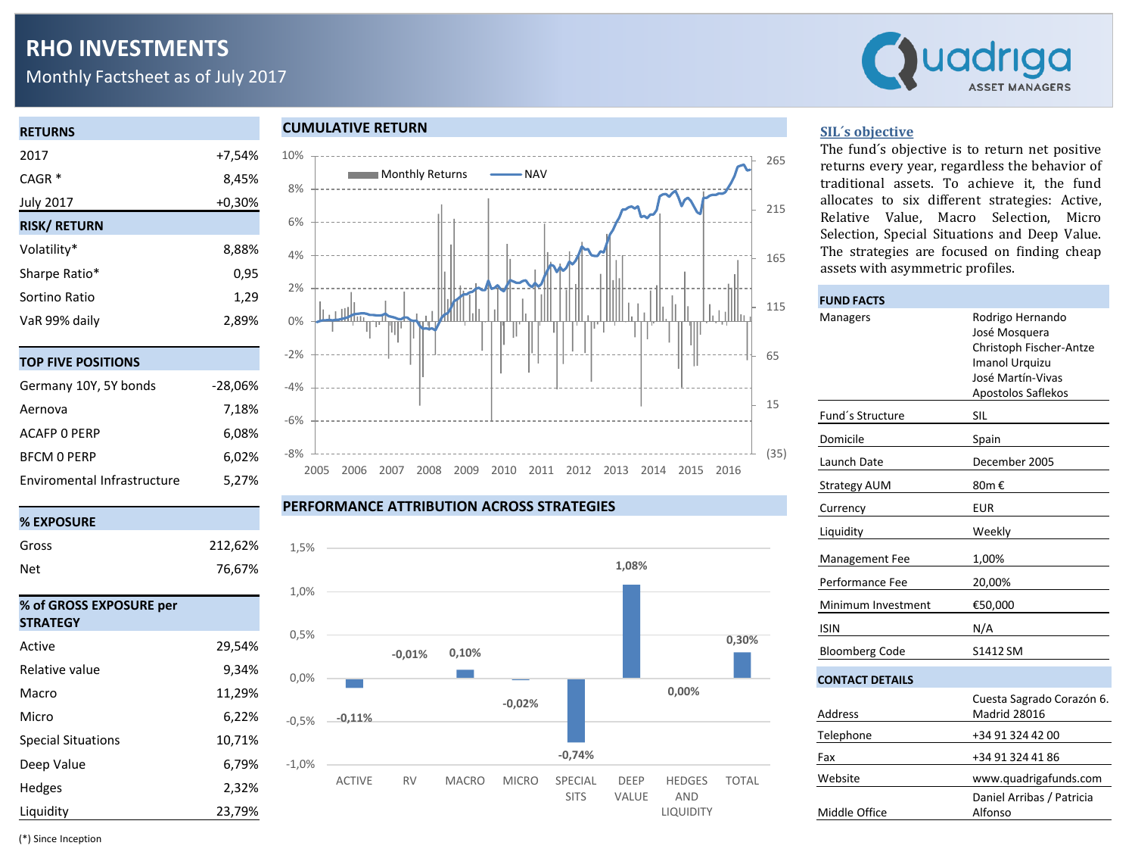# **RHO INVESTMENTS**

Monthly Factsheet as of July 2017



| <b>RETURNS</b>      |          |
|---------------------|----------|
| 2017                | +7,54%   |
| $CAGR*$             | 8,45%    |
| <b>July 2017</b>    | $+0.30%$ |
| <b>RISK/ RETURN</b> |          |
| Volatility*         | 8,88%    |
| Sharpe Ratio*       | 0,95     |
| Sortino Ratio       | 1,29     |
| VaR 99% daily       | 2,89%    |
|                     |          |
| E DOCITIONIC        |          |

| 191 1176 1931 1191 13       |           |
|-----------------------------|-----------|
| Germany 10Y, 5Y bonds       | $-28,06%$ |
| Aernova                     | 7,18%     |
| ACAFP 0 PFRP                | 6,08%     |
| <b>BFCM O PERP</b>          | 6.02%     |
| Enviromental Infrastructure | 5.27%     |

| Gross                                      | 212,62% |
|--------------------------------------------|---------|
| Net                                        | 76,67%  |
| % of GROSS EXPOSURE per<br><b>STRATEGY</b> |         |
| Active                                     | 29,54%  |
| Relative value                             | 9,34%   |
| Macro                                      | 11,29%  |
| Micro                                      | 6,22%   |
| <b>Special Situations</b>                  | 10,71%  |
| Deep Value                                 | 6,79%   |
| Hedges                                     | 2,32%   |
| Liquidity                                  | 23,79%  |

#### **CUMULATIVE RETURN**



#### **PERFORMANCE ATTRIBUTION ACROSS STRATEGIES**



### **SIL´s objective**

The fund´s objective is to return net positive returns every year, regardless the behavior of traditional assets. To achieve it, the fund allocates to six different strategies: Active, Relative Value, Macro Selection, Micro Selection, Special Situations and Deep Value. The strategies are focused on finding cheap assets with asymmetric profiles.

| <b>FUND FACTS</b>      |                                                                                                                                  |  |  |  |  |  |
|------------------------|----------------------------------------------------------------------------------------------------------------------------------|--|--|--|--|--|
| Managers               | Rodrigo Hernando<br>José Mosquera<br>Christoph Fischer-Antze<br><b>Imanol Urquizu</b><br>José Martín-Vivas<br>Apostolos Saflekos |  |  |  |  |  |
| Fund's Structure       | <b>SIL</b>                                                                                                                       |  |  |  |  |  |
| Domicile               | Spain                                                                                                                            |  |  |  |  |  |
| Launch Date            | December 2005                                                                                                                    |  |  |  |  |  |
| <b>Strategy AUM</b>    | 80m €                                                                                                                            |  |  |  |  |  |
| Currency               | <b>EUR</b>                                                                                                                       |  |  |  |  |  |
| Liquidity              | Weekly                                                                                                                           |  |  |  |  |  |
| Management Fee         | 1,00%                                                                                                                            |  |  |  |  |  |
| Performance Fee        | 20,00%                                                                                                                           |  |  |  |  |  |
| Minimum Investment     | €50,000                                                                                                                          |  |  |  |  |  |
| <b>ISIN</b>            | N/A                                                                                                                              |  |  |  |  |  |
| <b>Bloomberg Code</b>  | S1412 SM                                                                                                                         |  |  |  |  |  |
| <b>CONTACT DETAILS</b> |                                                                                                                                  |  |  |  |  |  |
| Address                | Cuesta Sagrado Corazón 6.<br>Madrid 28016                                                                                        |  |  |  |  |  |
| Telephone              | +34 91 324 42 00                                                                                                                 |  |  |  |  |  |
| Fax                    | +34 91 324 41 86                                                                                                                 |  |  |  |  |  |
| Website                | www.quadrigafunds.com                                                                                                            |  |  |  |  |  |
| Middle Office          | Daniel Arribas / Patricia<br>Alfonso                                                                                             |  |  |  |  |  |

(\*) Since Inception

**% EXPOSURE**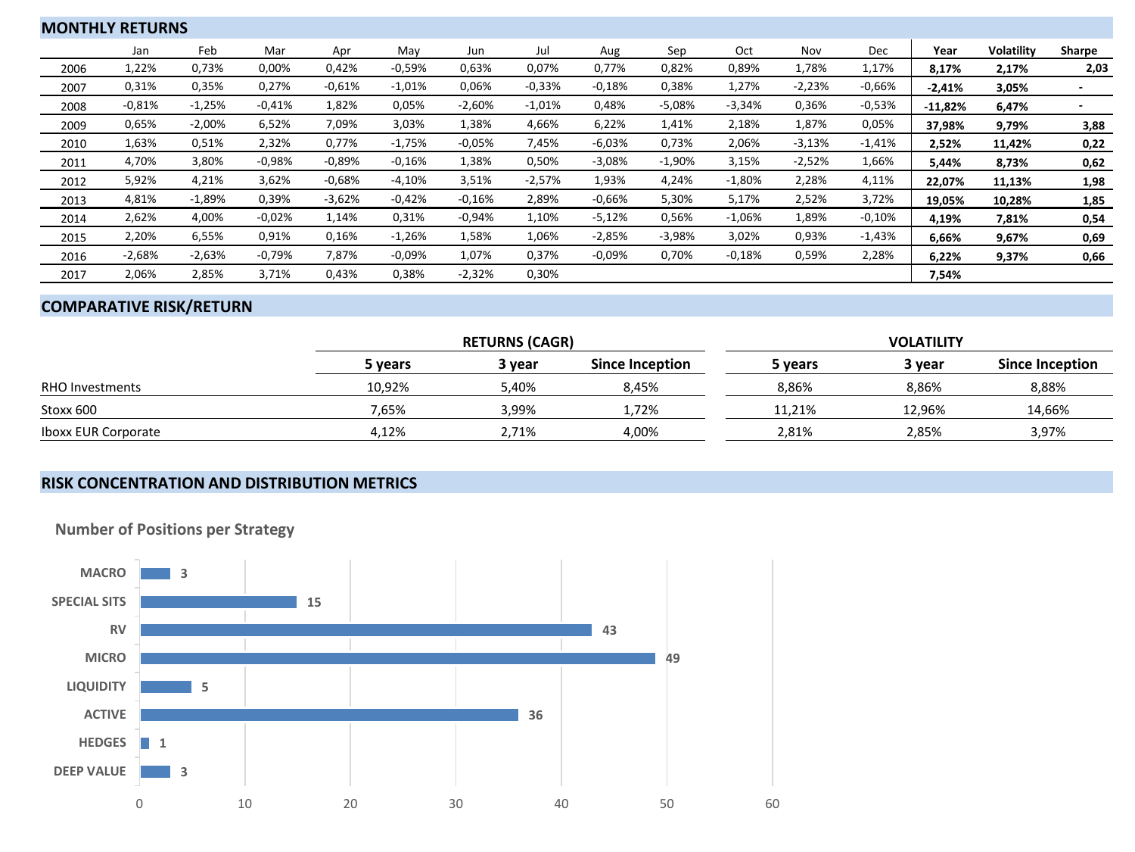| <b>MONTHLY RETURNS</b> |          |          |          |          |          |          |          |          |          |          |          |          |           |                   |        |
|------------------------|----------|----------|----------|----------|----------|----------|----------|----------|----------|----------|----------|----------|-----------|-------------------|--------|
|                        | Jan      | Feb      | Mar      | Apr      | May      | Jun      | Jul      | Aug      | Sep      | Oct      | Nov      | Dec      | Year      | <b>Volatility</b> | Sharpe |
| 2006                   | 1,22%    | 0,73%    | 0,00%    | 0,42%    | $-0.59%$ | 0,63%    | 0,07%    | 0.77%    | 0,82%    | 0,89%    | 1,78%    | 1,17%    | 8,17%     | 2,17%             | 2,03   |
| 2007                   | 0,31%    | 0,35%    | 0,27%    | $-0.61%$ | $-1,01%$ | 0,06%    | $-0,33%$ | $-0.18%$ | 0,38%    | 1,27%    | $-2,23%$ | $-0.66%$ | $-2,41%$  | 3,05%             |        |
| 2008                   | $-0.81%$ | $-1,25%$ | $-0.41%$ | 1,82%    | 0,05%    | $-2,60%$ | $-1,01%$ | 0,48%    | $-5,08%$ | $-3,34%$ | 0,36%    | $-0,53%$ | $-11,82%$ | 6,47%             |        |
| 2009                   | 0,65%    | $-2,00%$ | 6,52%    | 7,09%    | 3,03%    | 1,38%    | 4,66%    | 6,22%    | 1,41%    | 2,18%    | 1,87%    | 0,05%    | 37,98%    | 9,79%             | 3,88   |
| 2010                   | 1,63%    | 0,51%    | 2,32%    | 0,77%    | $-1,75%$ | $-0,05%$ | 7,45%    | $-6,03%$ | 0,73%    | 2,06%    | $-3,13%$ | $-1,41%$ | 2,52%     | 11,42%            | 0,22   |
| 2011                   | 4,70%    | 3,80%    | $-0.98%$ | $-0.89%$ | $-0.16%$ | 1,38%    | 0,50%    | $-3,08%$ | $-1,90%$ | 3,15%    | $-2,52%$ | 1,66%    | 5,44%     | 8,73%             | 0,62   |
| 2012                   | 5,92%    | 4,21%    | 3,62%    | $-0.68%$ | $-4,10%$ | 3,51%    | $-2,57%$ | 1,93%    | 4,24%    | $-1,80%$ | 2,28%    | 4,11%    | 22,07%    | 11,13%            | 1,98   |
| 2013                   | 4,81%    | $-1,89%$ | 0,39%    | $-3,62%$ | $-0.42%$ | $-0.16%$ | 2,89%    | $-0.66%$ | 5,30%    | 5,17%    | 2,52%    | 3,72%    | 19,05%    | 10,28%            | 1,85   |
| 2014                   | 2,62%    | 4,00%    | $-0.02%$ | 1,14%    | 0,31%    | $-0.94%$ | 1,10%    | $-5,12%$ | 0,56%    | $-1,06%$ | 1,89%    | $-0,10%$ | 4,19%     | 7,81%             | 0,54   |
| 2015                   | 2,20%    | 6,55%    | 0,91%    | 0,16%    | $-1,26%$ | 1,58%    | 1,06%    | $-2,85%$ | $-3,98%$ | 3,02%    | 0,93%    | $-1,43%$ | 6,66%     | 9,67%             | 0,69   |
| 2016                   | $-2,68%$ | $-2,63%$ | $-0,79%$ | 7,87%    | $-0.09%$ | 1,07%    | 0,37%    | $-0.09%$ | 0,70%    | $-0,18%$ | 0,59%    | 2,28%    | 6,22%     | 9,37%             | 0,66   |
| 2017                   | 2,06%    | 2,85%    | 3,71%    | 0,43%    | 0,38%    | $-2,32%$ | 0,30%    |          |          |          |          |          | 7,54%     |                   |        |

## **COMPARATIVE RISK/RETURN**

|                            |         | <b>RETURNS (CAGR)</b> |                 | <b>VOLATILITY</b> |        |                 |  |  |
|----------------------------|---------|-----------------------|-----------------|-------------------|--------|-----------------|--|--|
|                            | 5 vears | 3 vear                | Since Inception | 5 years           | 3 year | Since Inception |  |  |
| <b>RHO Investments</b>     | 10,92%  | 5,40%                 | 8.45%           | 8,86%             | 8,86%  | 8,88%           |  |  |
| Stoxx 600                  | 7,65%   | 3.99%                 | 1,72%           | 11.21%            | 12.96% | 14,66%          |  |  |
| <b>Iboxx EUR Corporate</b> | 4.12%   | 2.71%                 | 4.00%           | 2,81%             | 2.85%  | 3,97%           |  |  |

## **RISK CONCENTRATION AND DISTRIBUTION METRICS**



**Number of Positions per Strategy**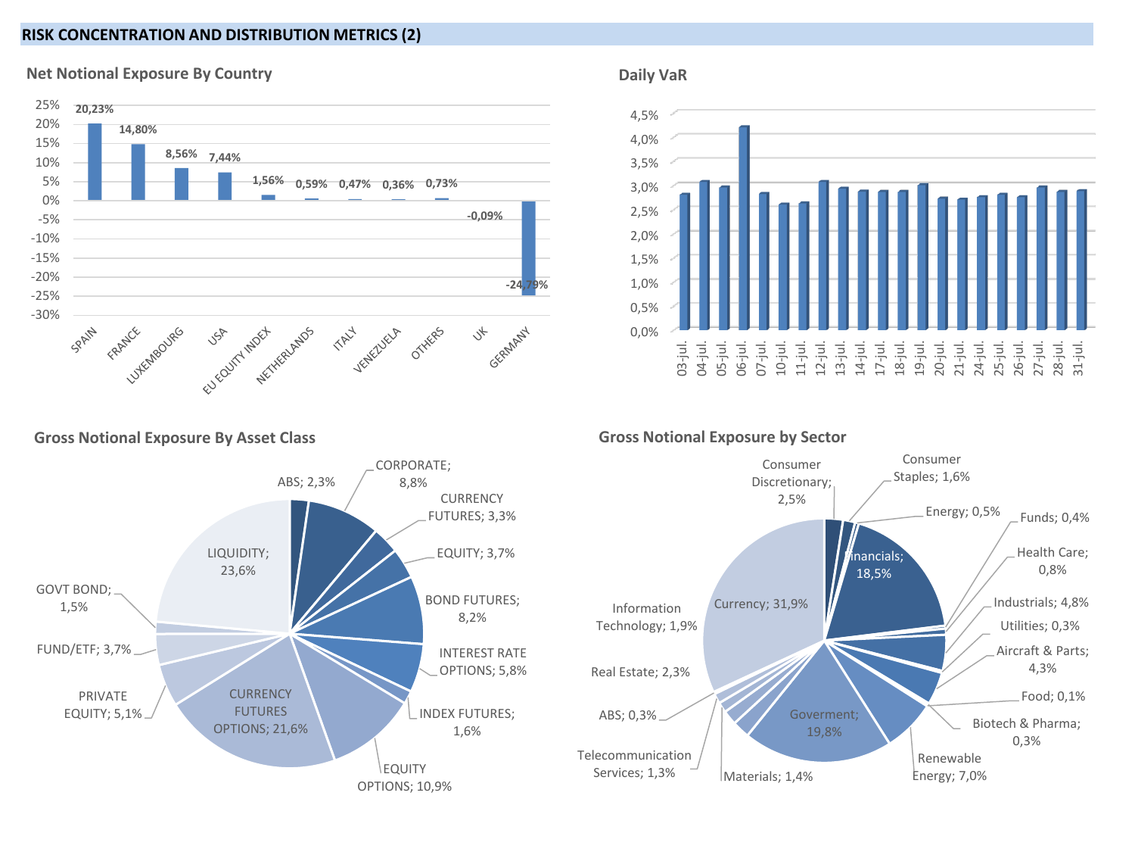## **RISK CONCENTRATION AND DISTRIBUTION METRICS (2)**



## **Net Notional Exposure By Country**





**Gross Notional Exposure By Asset Class**



## **Gross Notional Exposure by Sector**

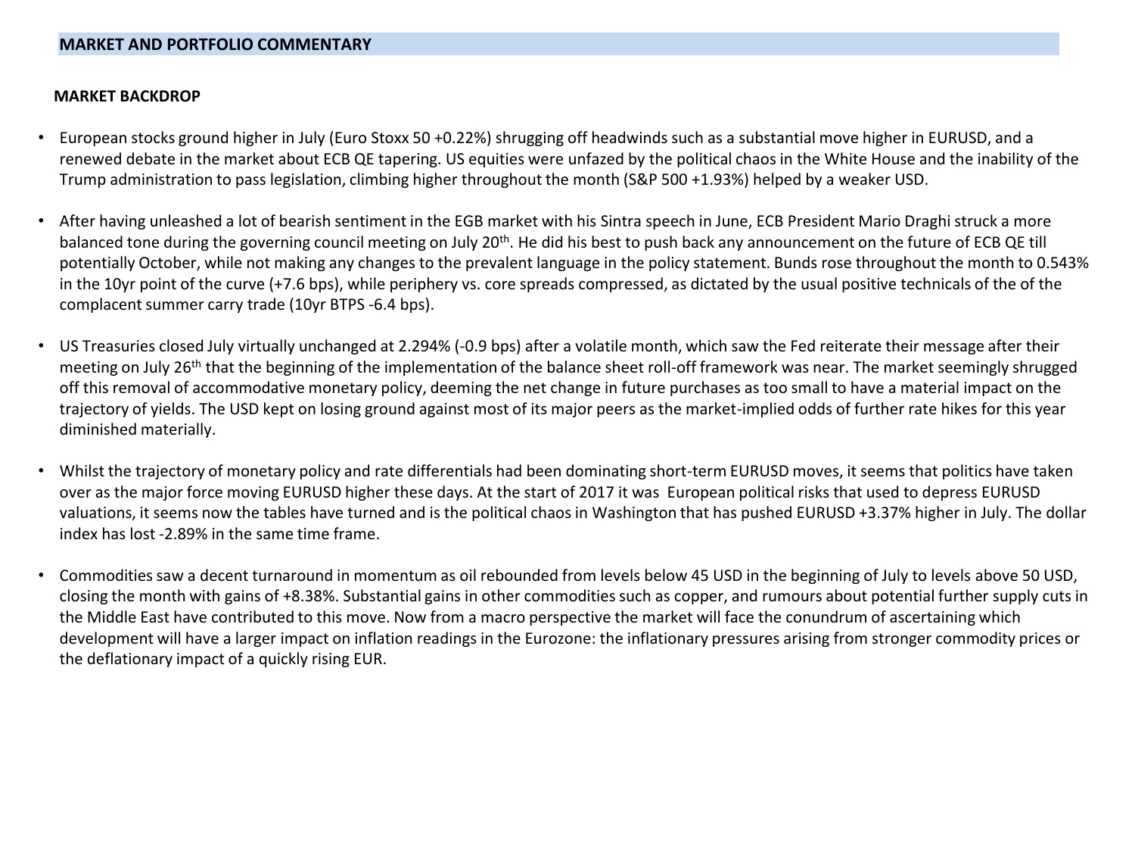### **MARKET BACKDROP**

- European stocks ground higher in July (Euro Stoxx 50 +0.22%) shrugging off headwinds such as a substantial move higher in EURUSD, and a renewed debate in the market about ECB QE tapering. US equities were unfazed by the political chaos in the White House and the inability of the Trump administration to pass legislation, climbing higher throughout the month (S&P 500 +1.93%) helped by a weaker USD.
- After having unleashed a lot of bearish sentiment in the EGB market with his Sintra speech in June, ECB President Mario Draghi struck a more balanced tone during the governing council meeting on July 20<sup>th</sup>. He did his best to push back any announcement on the future of ECB QE till potentially October, while not making any changes to the prevalent language in the policy statement. Bunds rose throughout the month to 0.543% in the 10yr point of the curve (+7.6 bps), while periphery vs. core spreads compressed, as dictated by the usual positive technicals of the of the complacent summer carry trade (10yr BTPS -6.4 bps).
- US Treasuries closed July virtually unchanged at 2.294% (-0.9 bps) after a volatile month, which saw the Fed reiterate their message after their meeting on July 26<sup>th</sup> that the beginning of the implementation of the balance sheet roll-off framework was near. The market seemingly shrugged off this removal of accommodative monetary policy, deeming the net change in future purchases as too small to have a material impact on the trajectory of yields. The USD kept on losing ground against most of its major peers as the market-implied odds of further rate hikes for this year diminished materially.
- Whilst the trajectory of monetary policy and rate differentials had been dominating short-term EURUSD moves, it seems that politics have taken over as the major force moving EURUSD higher these days. At the start of 2017 it was European political risks that used to depress EURUSD valuations, it seems now the tables have turned and is the political chaos in Washington that has pushed EURUSD +3.37% higher in July. The dollar index has lost -2.89% in the same time frame.
- Commodities saw a decent turnaround in momentum as oil rebounded from levels below 45 USD in the beginning of July to levels above 50 USD, closing the month with gains of +8.38%. Substantial gains in other commodities such as copper, and rumours about potential further supply cuts in the Middle East have contributed to this move. Now from a macro perspective the market will face the conundrum of ascertaining which development will have a larger impact on inflation readings in the Eurozone: the inflationary pressures arising from stronger commodity prices or the deflationary impact of a quickly rising EUR.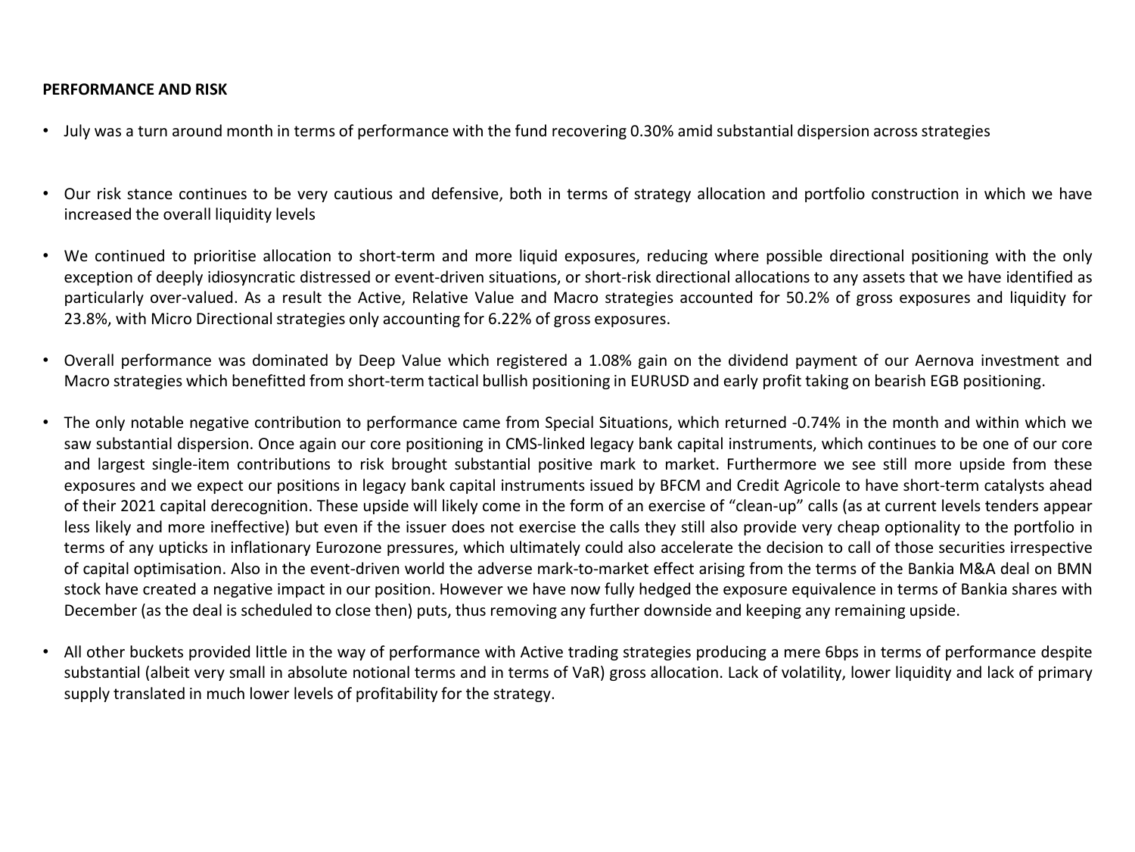## **PERFORMANCE AND RISK**

- July was a turn around month in terms of performance with the fund recovering 0.30% amid substantial dispersion across strategies
- Our risk stance continues to be very cautious and defensive, both in terms of strategy allocation and portfolio construction in which we have increased the overall liquidity levels
- We continued to prioritise allocation to short-term and more liquid exposures, reducing where possible directional positioning with the only exception of deeply idiosyncratic distressed or event-driven situations, or short-risk directional allocations to any assets that we have identified as particularly over-valued. As a result the Active, Relative Value and Macro strategies accounted for 50.2% of gross exposures and liquidity for 23.8%, with Micro Directional strategies only accounting for 6.22% of gross exposures.
- Overall performance was dominated by Deep Value which registered a 1.08% gain on the dividend payment of our Aernova investment and Macro strategies which benefitted from short-term tactical bullish positioning in EURUSD and early profit taking on bearish EGB positioning.
- The only notable negative contribution to performance came from Special Situations, which returned -0.74% in the month and within which we saw substantial dispersion. Once again our core positioning in CMS-linked legacy bank capital instruments, which continues to be one of our core and largest single-item contributions to risk brought substantial positive mark to market. Furthermore we see still more upside from these exposures and we expect our positions in legacy bank capital instruments issued by BFCM and Credit Agricole to have short-term catalysts ahead of their 2021 capital derecognition. These upside will likely come in the form of an exercise of "clean-up" calls (as at current levels tenders appear less likely and more ineffective) but even if the issuer does not exercise the calls they still also provide very cheap optionality to the portfolio in terms of any upticks in inflationary Eurozone pressures, which ultimately could also accelerate the decision to call of those securities irrespective of capital optimisation. Also in the event-driven world the adverse mark-to-market effect arising from the terms of the Bankia M&A deal on BMN stock have created a negative impact in our position. However we have now fully hedged the exposure equivalence in terms of Bankia shares with December (as the deal is scheduled to close then) puts, thus removing any further downside and keeping any remaining upside.
- All other buckets provided little in the way of performance with Active trading strategies producing a mere 6bps in terms of performance despite substantial (albeit very small in absolute notional terms and in terms of VaR) gross allocation. Lack of volatility, lower liquidity and lack of primary supply translated in much lower levels of profitability for the strategy.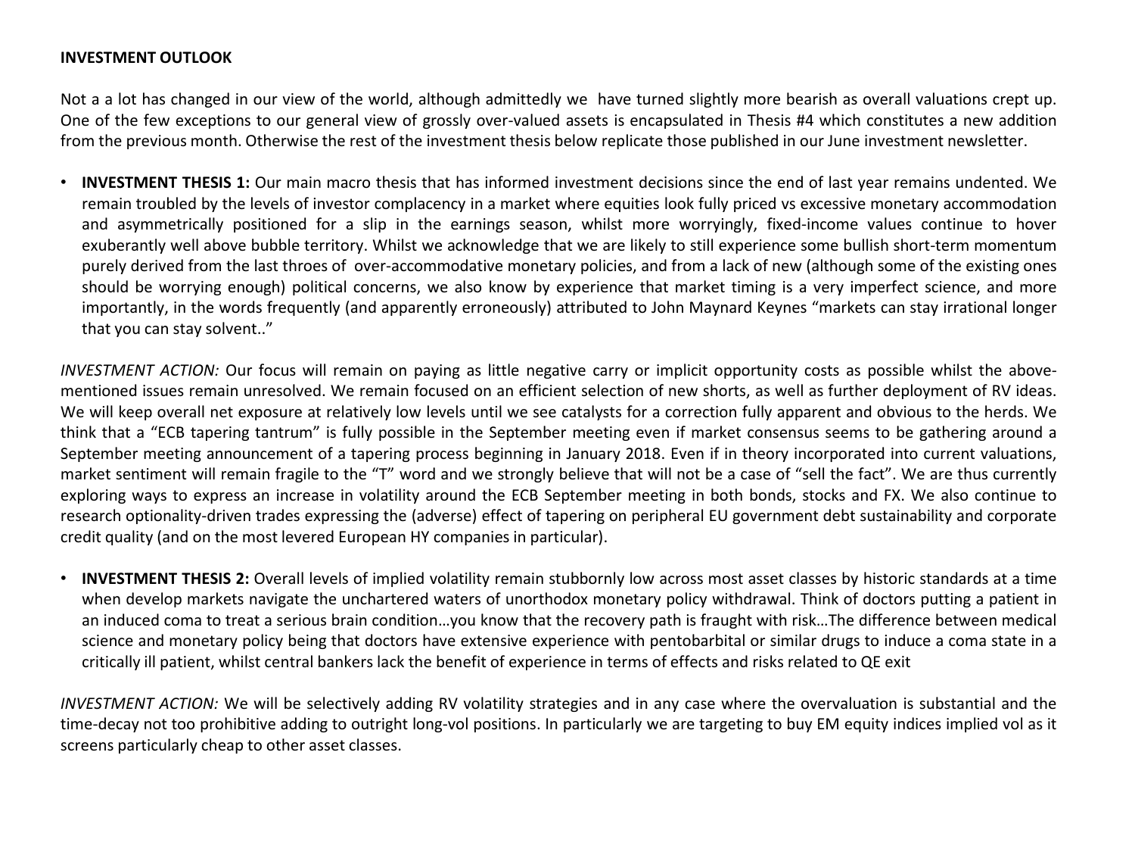## **INVESTMENT OUTLOOK**

Not a a lot has changed in our view of the world, although admittedly we have turned slightly more bearish as overall valuations crept up. One of the few exceptions to our general view of grossly over-valued assets is encapsulated in Thesis #4 which constitutes a new addition from the previous month. Otherwise the rest of the investment thesis below replicate those published in our June investment newsletter.

• **INVESTMENT THESIS 1:** Our main macro thesis that has informed investment decisions since the end of last year remains undented. We remain troubled by the levels of investor complacency in a market where equities look fully priced vs excessive monetary accommodation and asymmetrically positioned for a slip in the earnings season, whilst more worryingly, fixed-income values continue to hover exuberantly well above bubble territory. Whilst we acknowledge that we are likely to still experience some bullish short-term momentum purely derived from the last throes of over-accommodative monetary policies, and from a lack of new (although some of the existing ones should be worrying enough) political concerns, we also know by experience that market timing is a very imperfect science, and more importantly, in the words frequently (and apparently erroneously) attributed to John Maynard Keynes "markets can stay irrational longer that you can stay solvent.."

*INVESTMENT ACTION:* Our focus will remain on paying as little negative carry or implicit opportunity costs as possible whilst the abovementioned issues remain unresolved. We remain focused on an efficient selection of new shorts, as well as further deployment of RV ideas. We will keep overall net exposure at relatively low levels until we see catalysts for a correction fully apparent and obvious to the herds. We think that a "ECB tapering tantrum" is fully possible in the September meeting even if market consensus seems to be gathering around a September meeting announcement of a tapering process beginning in January 2018. Even if in theory incorporated into current valuations, market sentiment will remain fragile to the "T" word and we strongly believe that will not be a case of "sell the fact". We are thus currently exploring ways to express an increase in volatility around the ECB September meeting in both bonds, stocks and FX. We also continue to research optionality-driven trades expressing the (adverse) effect of tapering on peripheral EU government debt sustainability and corporate credit quality (and on the most levered European HY companies in particular).

• **INVESTMENT THESIS 2:** Overall levels of implied volatility remain stubbornly low across most asset classes by historic standards at a time when develop markets navigate the unchartered waters of unorthodox monetary policy withdrawal. Think of doctors putting a patient in an induced coma to treat a serious brain condition…you know that the recovery path is fraught with risk…The difference between medical science and monetary policy being that doctors have extensive experience with pentobarbital or similar drugs to induce a coma state in a critically ill patient, whilst central bankers lack the benefit of experience in terms of effects and risks related to QE exit

*INVESTMENT ACTION:* We will be selectively adding RV volatility strategies and in any case where the overvaluation is substantial and the time-decay not too prohibitive adding to outright long-vol positions. In particularly we are targeting to buy EM equity indices implied vol as it screens particularly cheap to other asset classes.